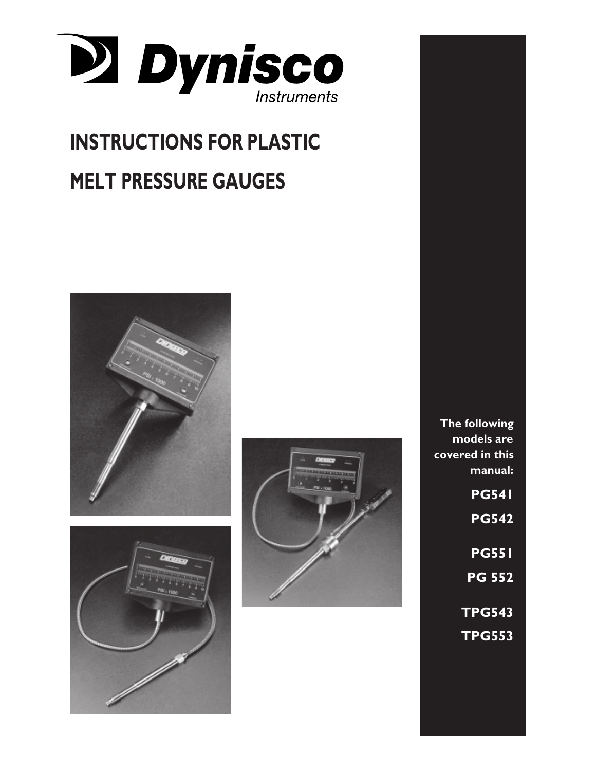

# **INSTRUCTIONS FOR PLASTIC MELT PRESSURE GAUGES**







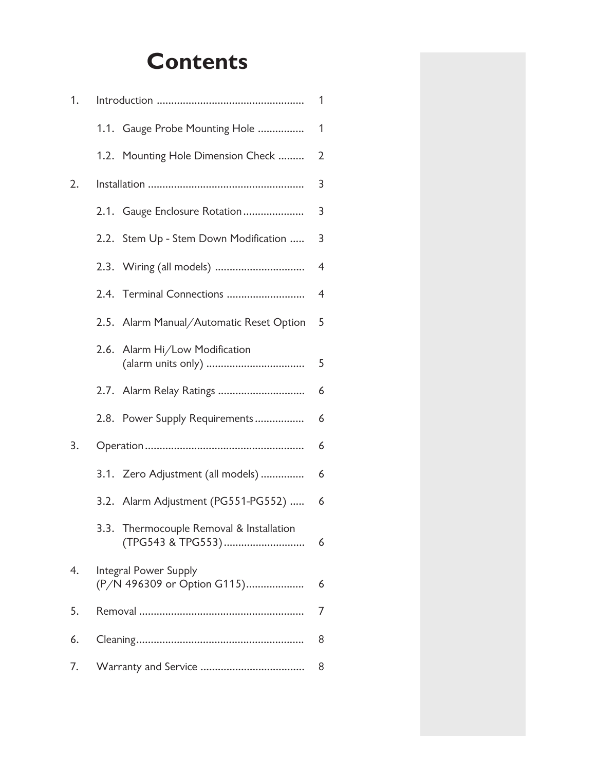# **Contents**

| 1. |   |                                                               |                |
|----|---|---------------------------------------------------------------|----------------|
|    |   | 1.1. Gauge Probe Mounting Hole                                | $\mathbf{1}$   |
|    |   | 1.2. Mounting Hole Dimension Check                            | $\overline{2}$ |
| 2. |   |                                                               |                |
|    |   | 2.1. Gauge Enclosure Rotation                                 | 3              |
|    |   | 2.2. Stem Up - Stem Down Modification                         | 3              |
|    |   | 2.3. Wiring (all models)                                      | $\overline{4}$ |
|    |   | 2.4. Terminal Connections                                     | $\overline{4}$ |
|    |   | 2.5. Alarm Manual/Automatic Reset Option                      | 5              |
|    |   | 2.6. Alarm Hi/Low Modification                                | 5              |
|    |   | 2.7. Alarm Relay Ratings                                      | 6              |
|    |   | 2.8. Power Supply Requirements                                | 6              |
| 3. |   |                                                               |                |
|    |   | 3.1. Zero Adjustment (all models)                             | 6              |
|    |   | 3.2. Alarm Adjustment (PG551-PG552)                           | 6              |
|    |   | 3.3. Thermocouple Removal & Installation<br>(TPG543 & TPG553) | 6              |
| 4. |   | Integral Power Supply<br>(P/N 496309 or Option G115)          |                |
| 5. | 7 |                                                               |                |
| 6. | 8 |                                                               |                |
| 7. | 8 |                                                               |                |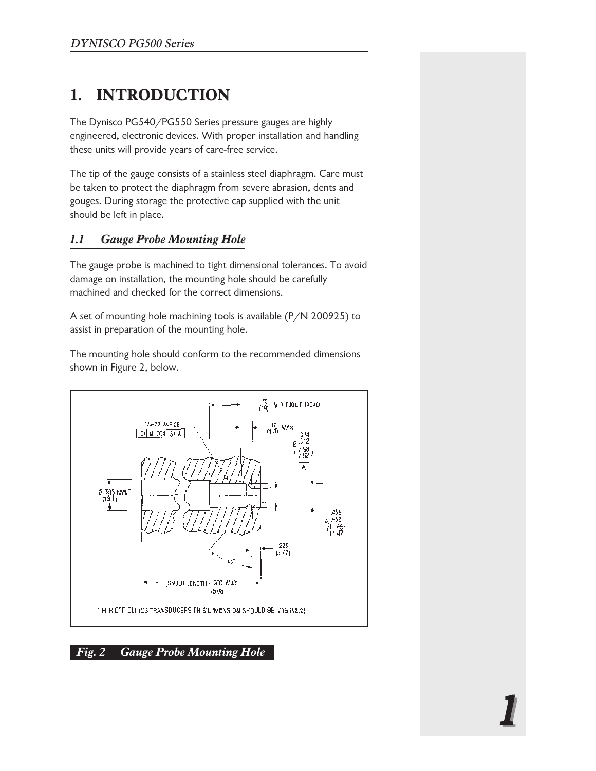# **1. INTRODUCTION**

The Dynisco PG540/PG550 Series pressure gauges are highly engineered, electronic devices. With proper installation and handling these units will provide years of care-free service.

The tip of the gauge consists of a stainless steel diaphragm. Care must be taken to protect the diaphragm from severe abrasion, dents and gouges. During storage the protective cap supplied with the unit should be left in place.

#### *1.1 Gauge Probe Mounting Hole*

The gauge probe is machined to tight dimensional tolerances. To avoid damage on installation, the mounting hole should be carefully machined and checked for the correct dimensions.

A set of mounting hole machining tools is available (P/N 200925) to assist in preparation of the mounting hole.

The mounting hole should conform to the recommended dimensions shown in Figure 2, below.



#### *Fig. 2 Gauge Probe Mounting Hole*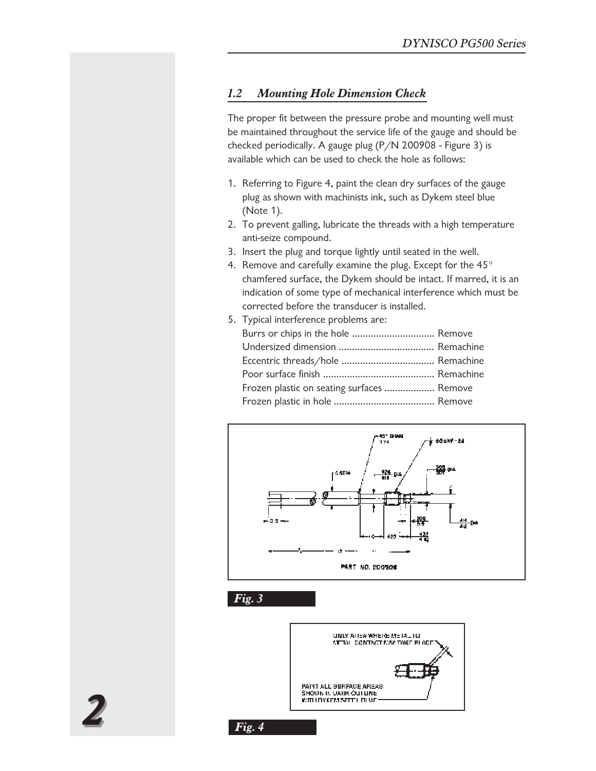#### *1.2 Mounting Hole Dimension Check*

The proper fit between the pressure probe and mounting well must be maintained throughout the service life of the gauge and should be checked periodically. A gauge plug (P/N 200908 - Figure 3) is available which can be used to check the hole as follows:

- 1. Referring to Figure 4, paint the clean dry surfaces of the gauge plug as shown with machinists ink, such as Dykem steel blue (Note 1).
- 2. To prevent galling, lubricate the threads with a high temperature anti-seize compound.
- 3. Insert the plug and torque lightly until seated in the well.
- 4. Remove and carefully examine the plug. Except for the  $45^{\circ}$ chamfered surface, the Dykem should be intact. If marred, it is an indication of some type of mechanical interference which must be corrected before the transducer is installed.
- 5. Typical interference problems are: Burrs or chips in the hole ................................. Remove Undersized dimension .................................... Remachine Eccentric threads/hole ................................... Remachine Poor surface finish .......................................... Remachine Frozen plastic on seating surfaces ................... Remove Frozen plastic in hole ...................................... Remove



*Fig. 3*

*Fig. 4*



22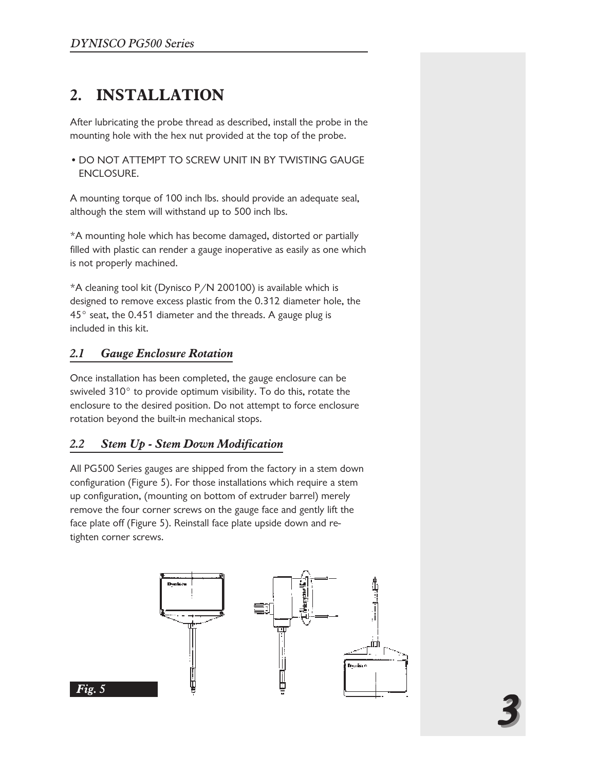# **2. INSTALLATION**

After lubricating the probe thread as described, install the probe in the mounting hole with the hex nut provided at the top of the probe.

• DO NOT ATTEMPT TO SCREW UNIT IN BY TWISTING GAUGE ENCLOSURE.

A mounting torque of 100 inch lbs. should provide an adequate seal, although the stem will withstand up to 500 inch lbs.

\*A mounting hole which has become damaged, distorted or partially filled with plastic can render a gauge inoperative as easily as one which is not properly machined.

\*A cleaning tool kit (Dynisco P/N 200100) is available which is designed to remove excess plastic from the 0.312 diameter hole, the 45° seat, the 0.451 diameter and the threads. A gauge plug is included in this kit.

#### *2.1 Gauge Enclosure Rotation*

Once installation has been completed, the gauge enclosure can be swiveled 310° to provide optimum visibility. To do this, rotate the enclosure to the desired position. Do not attempt to force enclosure rotation beyond the built-in mechanical stops.

#### *2.2 Stem Up - Stem Down Modification*

All PG500 Series gauges are shipped from the factory in a stem down configuration (Figure 5). For those installations which require a stem up configuration, (mounting on bottom of extruder barrel) merely remove the four corner screws on the gauge face and gently lift the face plate off (Figure 5). Reinstall face plate upside down and retighten corner screws.

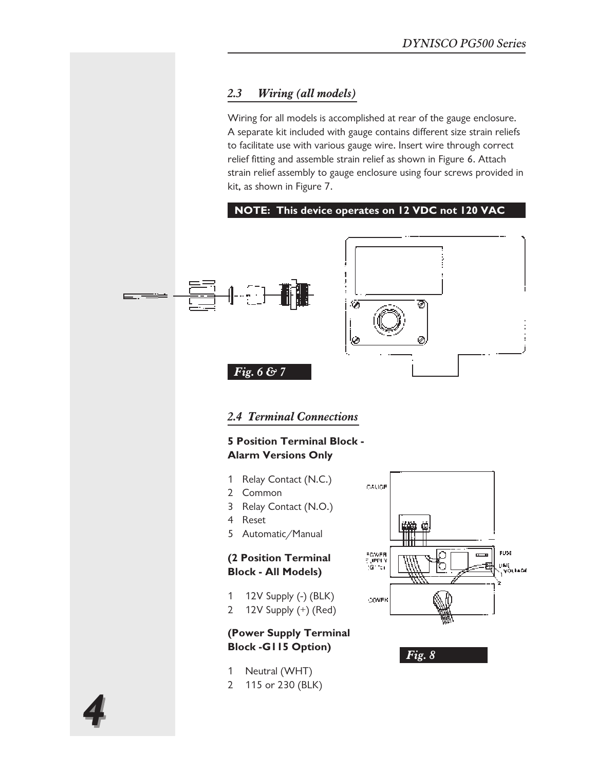#### *2.3 Wiring (all models)*

Wiring for all models is accomplished at rear of the gauge enclosure. A separate kit included with gauge contains different size strain reliefs to facilitate use with various gauge wire. Insert wire through correct relief fitting and assemble strain relief as shown in Figure 6. Attach strain relief assembly to gauge enclosure using four screws provided in kit, as shown in Figure 7.

#### **NOTE: This device operates on 12 VDC not 120 VAC**

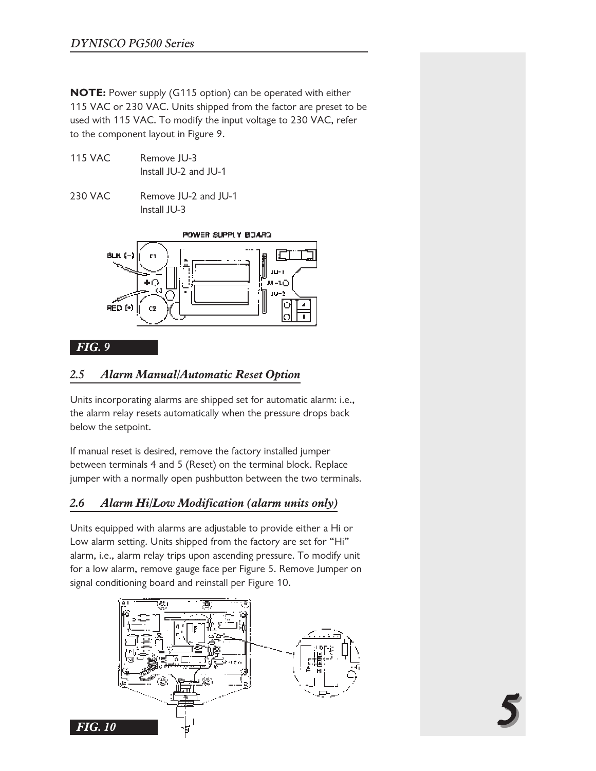**NOTE:** Power supply (G115 option) can be operated with either 115 VAC or 230 VAC. Units shipped from the factor are preset to be used with 115 VAC. To modify the input voltage to 230 VAC, refer to the component layout in Figure 9.

- 115 VAC Remove JU-3 Install JU-2 and JU-1
- 230 VAC Remove JU-2 and JU-1 Install JU-3



#### *FIG. 9*

#### *2.5 Alarm Manual/Automatic Reset Option*

Units incorporating alarms are shipped set for automatic alarm: i.e., the alarm relay resets automatically when the pressure drops back below the setpoint.

If manual reset is desired, remove the factory installed jumper between terminals 4 and 5 (Reset) on the terminal block. Replace jumper with a normally open pushbutton between the two terminals.

#### *2.6 Alarm Hi/Low Modification (alarm units only)*

Units equipped with alarms are adjustable to provide either a Hi or Low alarm setting. Units shipped from the factory are set for "Hi" alarm, i.e., alarm relay trips upon ascending pressure. To modify unit for a low alarm, remove gauge face per Figure 5. Remove Jumper on signal conditioning board and reinstall per Figure 10.



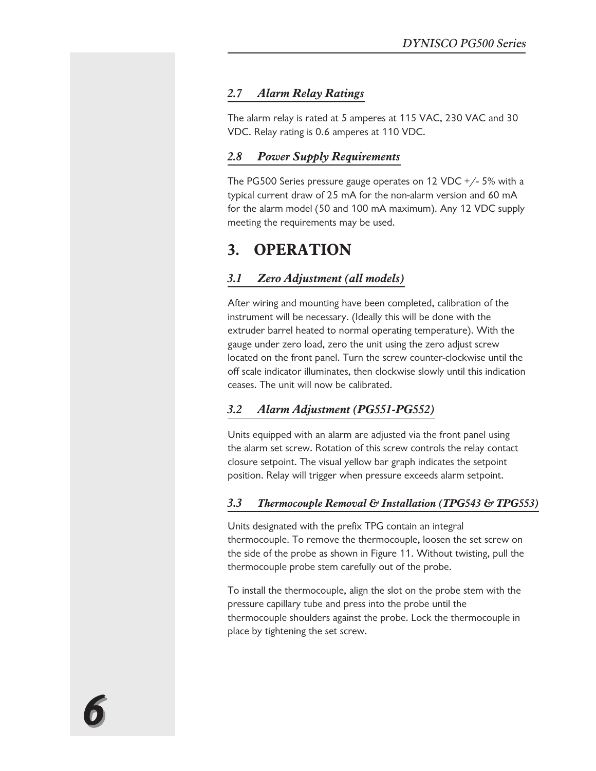#### *2.7 Alarm Relay Ratings*

The alarm relay is rated at 5 amperes at 115 VAC, 230 VAC and 30 VDC. Relay rating is 0.6 amperes at 110 VDC.

#### *2.8 Power Supply Requirements*

The PG500 Series pressure gauge operates on 12 VDC +/- 5% with a typical current draw of 25 mA for the non-alarm version and 60 mA for the alarm model (50 and 100 mA maximum). Any 12 VDC supply meeting the requirements may be used.

## **3. OPERATION**

#### *3.1 Zero Adjustment (all models)*

After wiring and mounting have been completed, calibration of the instrument will be necessary. (Ideally this will be done with the extruder barrel heated to normal operating temperature). With the gauge under zero load, zero the unit using the zero adjust screw located on the front panel. Turn the screw counter-clockwise until the off scale indicator illuminates, then clockwise slowly until this indication ceases. The unit will now be calibrated.

#### *3.2 Alarm Adjustment (PG551-PG552)*

Units equipped with an alarm are adjusted via the front panel using the alarm set screw. Rotation of this screw controls the relay contact closure setpoint. The visual yellow bar graph indicates the setpoint position. Relay will trigger when pressure exceeds alarm setpoint.

#### *3.3 Thermocouple Removal & Installation (TPG543 & TPG553)*

Units designated with the prefix TPG contain an integral thermocouple. To remove the thermocouple, loosen the set screw on the side of the probe as shown in Figure 11. Without twisting, pull the thermocouple probe stem carefully out of the probe.

To install the thermocouple, align the slot on the probe stem with the pressure capillary tube and press into the probe until the thermocouple shoulders against the probe. Lock the thermocouple in place by tightening the set screw.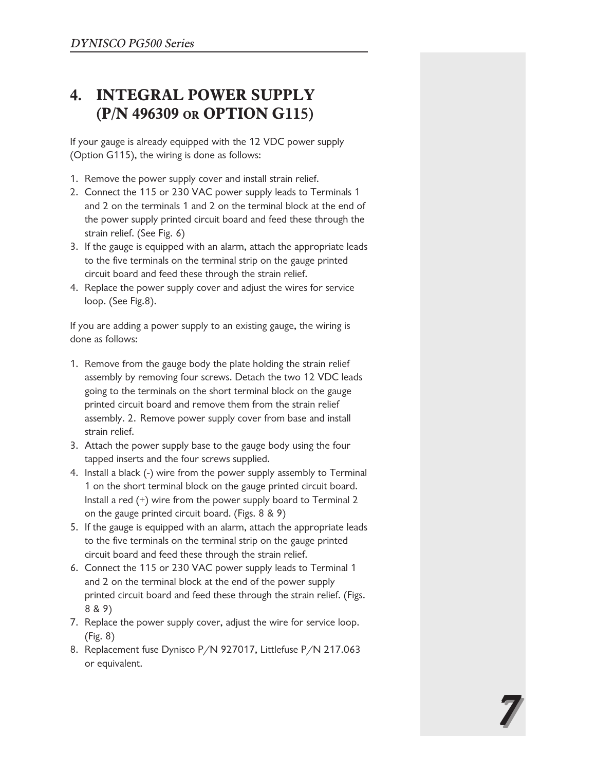# **4. INTEGRAL POWER SUPPLY (P/N 496309 OR OPTION G115)**

If your gauge is already equipped with the 12 VDC power supply (Option G115), the wiring is done as follows:

- 1. Remove the power supply cover and install strain relief.
- 2. Connect the 115 or 230 VAC power supply leads to Terminals 1 and 2 on the terminals 1 and 2 on the terminal block at the end of the power supply printed circuit board and feed these through the strain relief. (See Fig. 6)
- 3. If the gauge is equipped with an alarm, attach the appropriate leads to the five terminals on the terminal strip on the gauge printed circuit board and feed these through the strain relief.
- 4. Replace the power supply cover and adjust the wires for service loop. (See Fig.8).

If you are adding a power supply to an existing gauge, the wiring is done as follows:

- 1. Remove from the gauge body the plate holding the strain relief assembly by removing four screws. Detach the two 12 VDC leads going to the terminals on the short terminal block on the gauge printed circuit board and remove them from the strain relief assembly. 2. Remove power supply cover from base and install strain relief.
- 3. Attach the power supply base to the gauge body using the four tapped inserts and the four screws supplied.
- 4. Install a black (-) wire from the power supply assembly to Terminal 1 on the short terminal block on the gauge printed circuit board. Install a red (+) wire from the power supply board to Terminal 2 on the gauge printed circuit board. (Figs. 8 & 9)
- 5. If the gauge is equipped with an alarm, attach the appropriate leads to the five terminals on the terminal strip on the gauge printed circuit board and feed these through the strain relief.
- 6. Connect the 115 or 230 VAC power supply leads to Terminal 1 and 2 on the terminal block at the end of the power supply printed circuit board and feed these through the strain relief. (Figs. 8 & 9)
- 7. Replace the power supply cover, adjust the wire for service loop. (Fig. 8)
- 8. Replacement fuse Dynisco P/N 927017, Littlefuse P/N 217.063 or equivalent.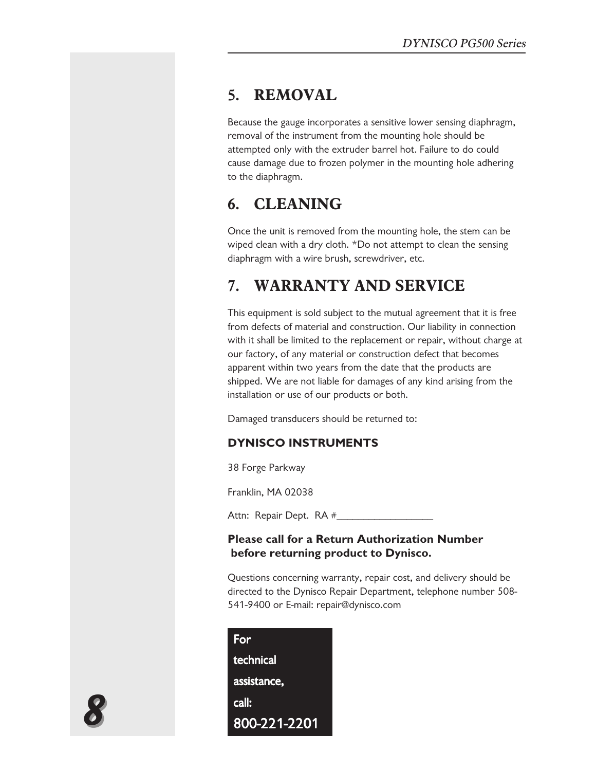## **5. REMOVAL**

Because the gauge incorporates a sensitive lower sensing diaphragm, removal of the instrument from the mounting hole should be attempted only with the extruder barrel hot. Failure to do could cause damage due to frozen polymer in the mounting hole adhering to the diaphragm.

# **6. CLEANING**

Once the unit is removed from the mounting hole, the stem can be wiped clean with a dry cloth. \*Do not attempt to clean the sensing diaphragm with a wire brush, screwdriver, etc.

# **7. WARRANTY AND SERVICE**

This equipment is sold subject to the mutual agreement that it is free from defects of material and construction. Our liability in connection with it shall be limited to the replacement or repair, without charge at our factory, of any material or construction defect that becomes apparent within two years from the date that the products are shipped. We are not liable for damages of any kind arising from the installation or use of our products or both.

Damaged transducers should be returned to:

#### **DYNISCO INSTRUMENTS**

38 Forge Parkway

Franklin, MA 02038

Attn: Repair Dept. RA #\_\_\_\_\_\_\_\_\_\_\_\_\_\_\_\_\_\_

#### **Please call for a Return Authorization Number before returning product to Dynisco.**

Questions concerning warranty, repair cost, and delivery should be directed to the Dynisco Repair Department, telephone number 508- 541-9400 or E-mail: repair@dynisco.com

| For              |  |
|------------------|--|
| <b>technical</b> |  |
| assistance,      |  |
| call:            |  |
| 800-221-2201     |  |